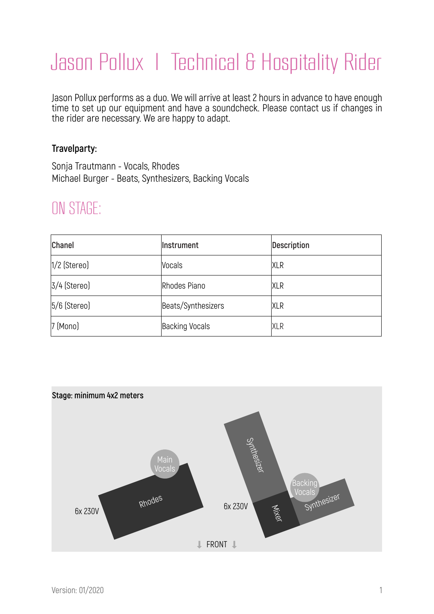# Jason Pollux | Technical & Hospitality Rider

Jason Pollux performs as a duo. We will arrive at least 2 hours in advance to have enough time to set up our equipment and have a soundcheck. Please contact us if changes in the rider are necessary. We are happy to adapt.

### **Travelparty:**

Sonja Trautmann - Vocals, Rhodes Michael Burger - Beats, Synthesizers, Backing Vocals

### ON STAGE:

| <b>Chanel</b>     | Instrument            | Description |
|-------------------|-----------------------|-------------|
| $1/2$ (Stereo)    | <b>Vocals</b>         | <b>XLR</b>  |
| $3/4$ (Stereo)    | Rhodes Piano          | <b>XLR</b>  |
| $5/6$ (Stereo)    | Beats/Synthesizers    | <b>XLR</b>  |
| $7 \times$ [Mono] | <b>Backing Vocals</b> | <b>XLR</b>  |

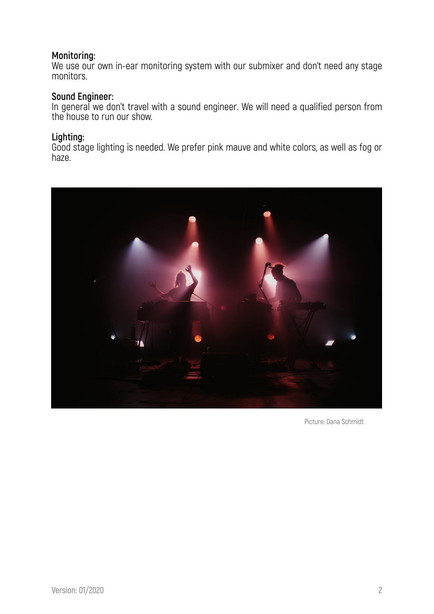### **Monitoring:**

We use our own in-ear monitoring system with our submixer and don't need any stage monitors.

### **Sound Engineer:**

In general we don't travel with a sound engineer. We will need a qualified person from the house to run our show.

### **Lighting:**

Good stage lighting is needed. We prefer pink mauve and white colors, as well as fog or haze.



Picture: Dana Schmidt